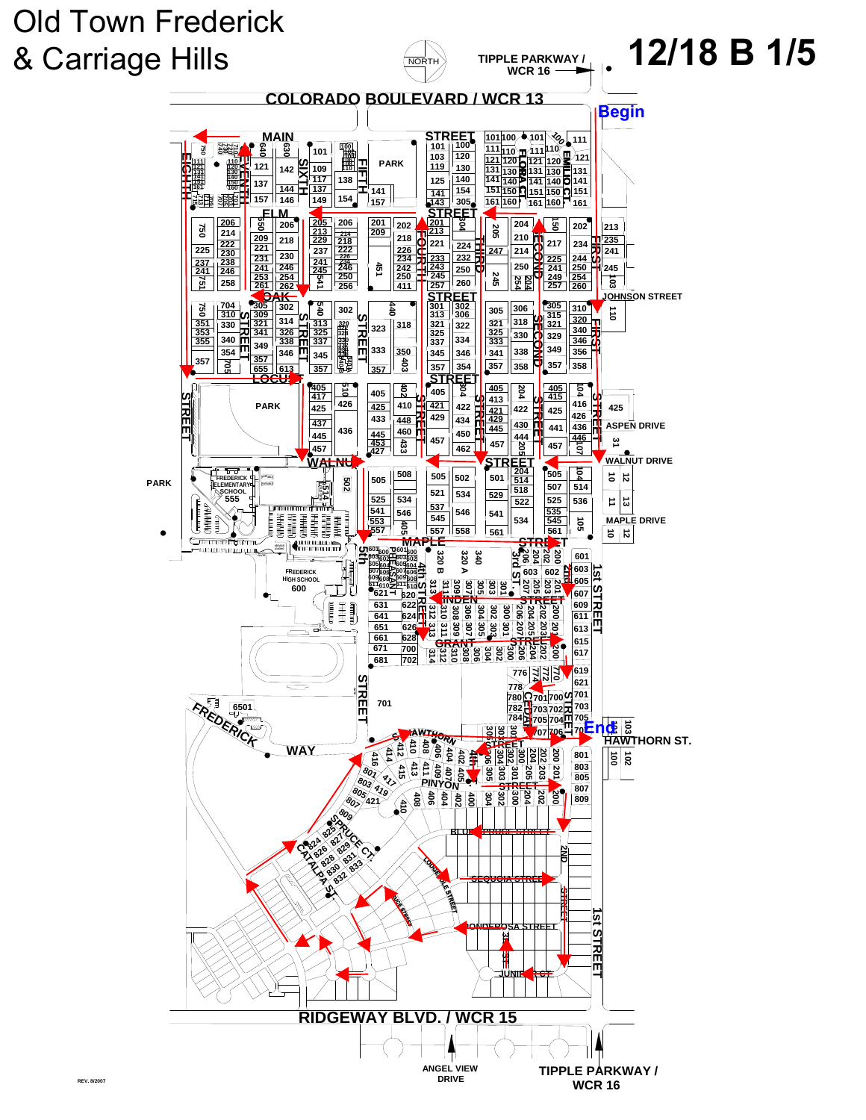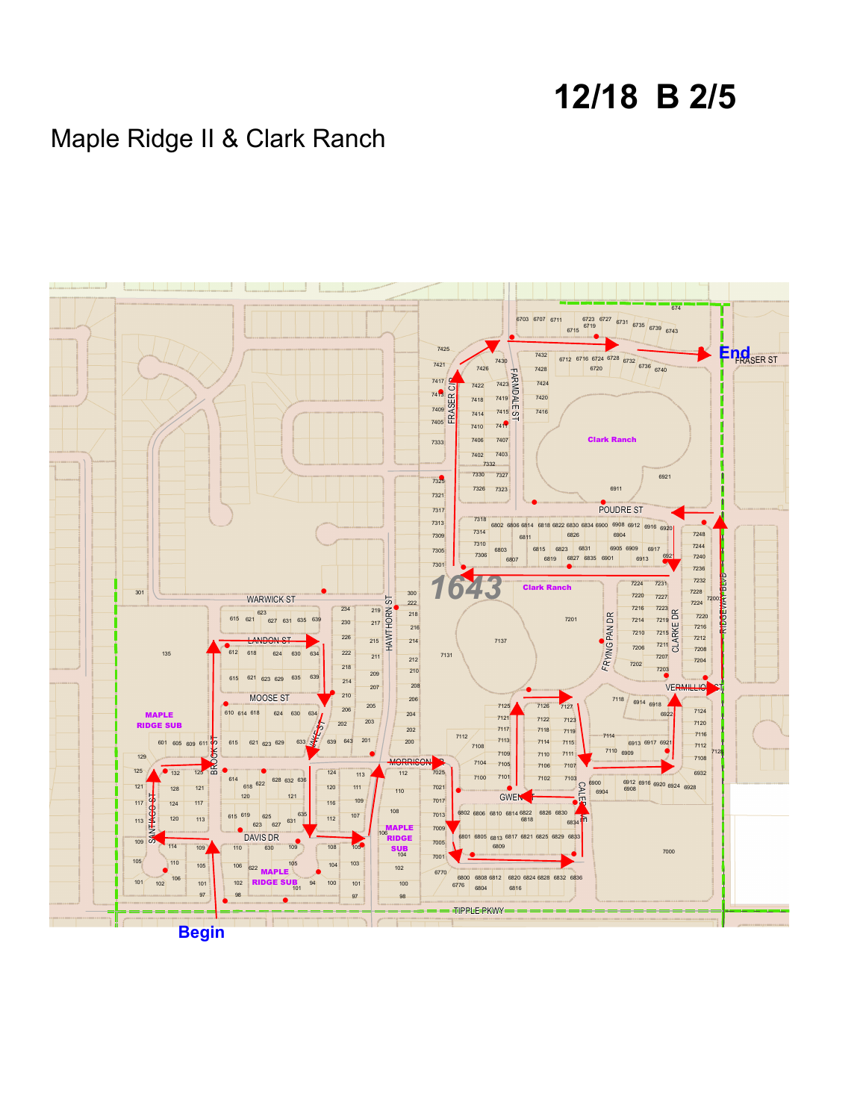## **12/18 B 2/5**

### Maple Ridge II & Clark Ranch

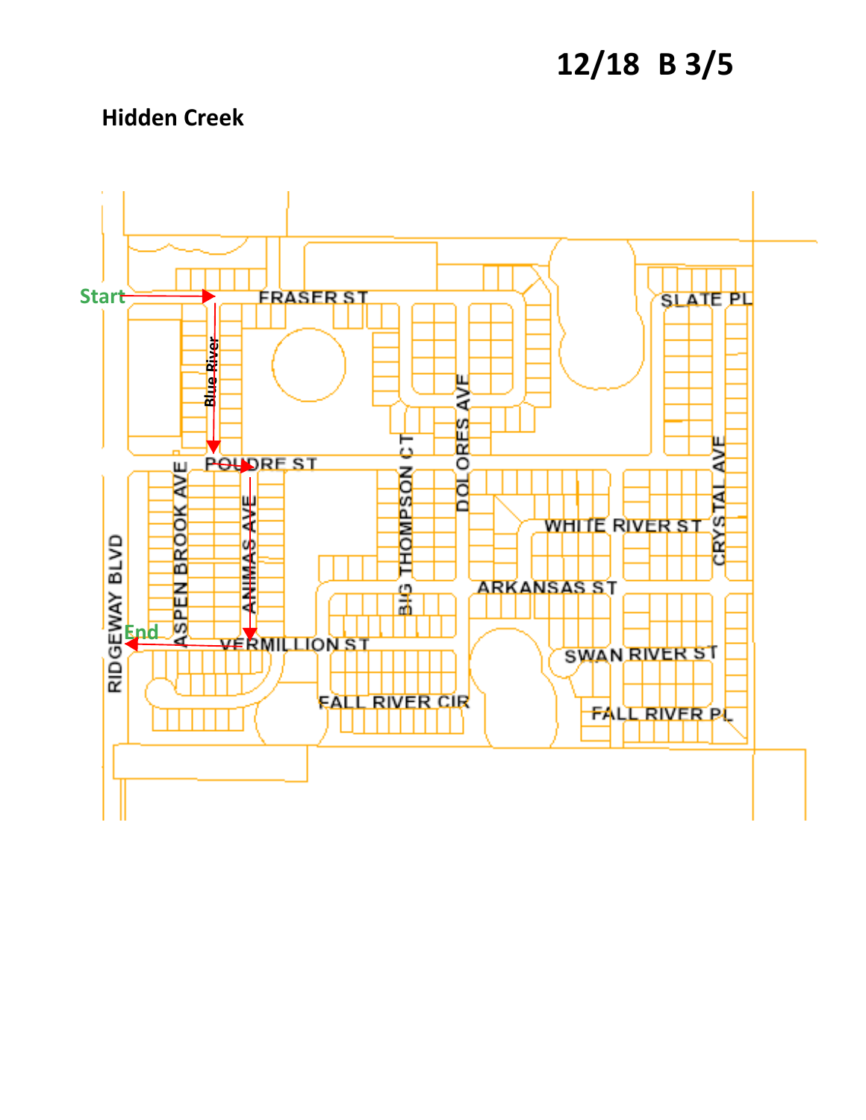### **12/18 B 3/5**

#### **Hidden Creek**

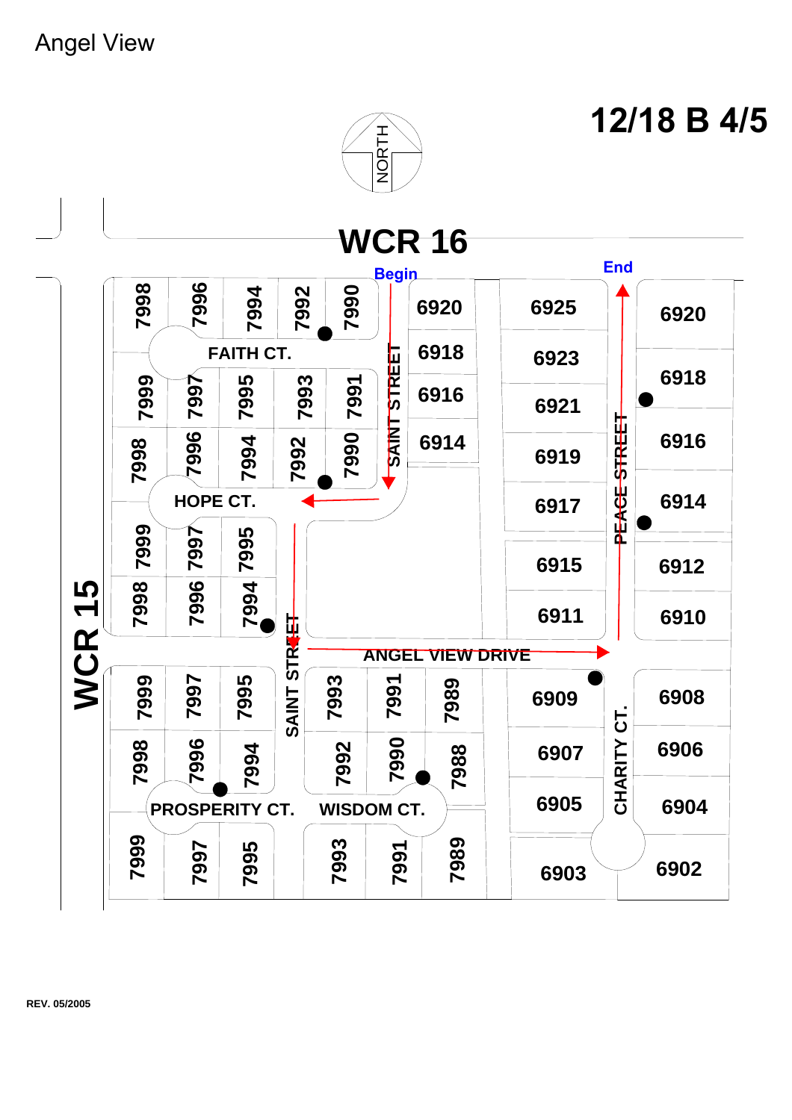Angel View